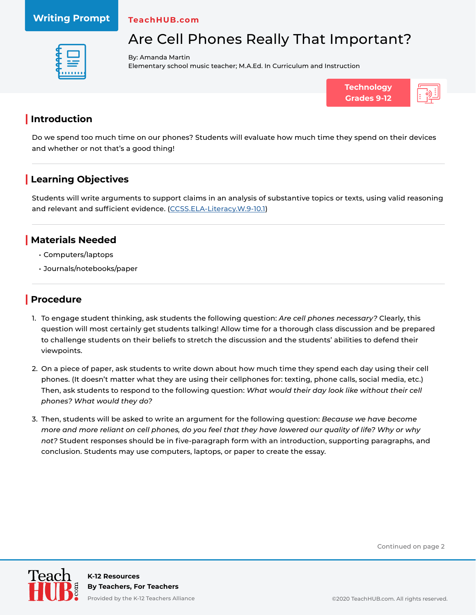#### **Writing Prompt**

**TeachHUB.com**



Are Cell Phones Really That Important?

By: Amanda Martin Elementary school music teacher; M.A.Ed. In Curriculum and Instruction



## **| Introduction**

Do we spend too much time on our phones? Students will evaluate how much time they spend on their devices and whether or not that's a good thing!

# **| Learning Objectives**

Students will write arguments to support claims in an analysis of substantive topics or texts, using valid reasoning and relevant and sufficient evidence. ([CCSS.ELA-Literacy.W.9-10.1](http://www.corestandards.org/ELA-Literacy/W/9-10/1/))

#### **| Materials Needed**

- Computers/laptops
- Journals/notebooks/paper

### **| Procedure**

- 1. To engage student thinking, ask students the following question: *Are cell phones necessary?* Clearly, this question will most certainly get students talking! Allow time for a thorough class discussion and be prepared to challenge students on their beliefs to stretch the discussion and the students' abilities to defend their viewpoints.
- 2. On a piece of paper, ask students to write down about how much time they spend each day using their cell phones. (It doesn't matter what they are using their cellphones for: texting, phone calls, social media, etc.) Then, ask students to respond to the following question: *What would their day look like without their cell phones? What would they do?*
- 3. Then, students will be asked to write an argument for the following question: *Because we have become more and more reliant on cell phones, do you feel that they have lowered our quality of life? Why or why not?* Student responses should be in five-paragraph form with an introduction, supporting paragraphs, and conclusion. Students may use computers, laptops, or paper to create the essay.

Continued on page 2